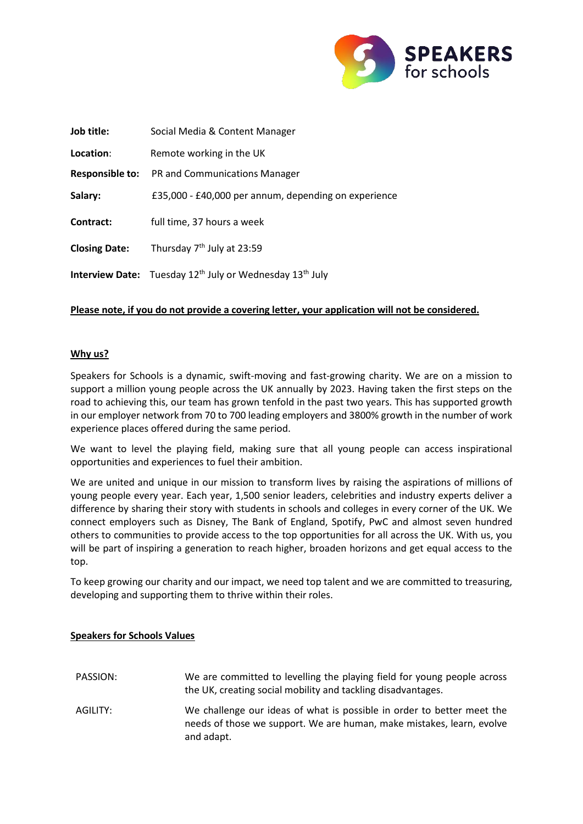

| Job title:             | Social Media & Content Manager                                            |
|------------------------|---------------------------------------------------------------------------|
| Location:              | Remote working in the UK                                                  |
| <b>Responsible to:</b> | PR and Communications Manager                                             |
| Salary:                | £35,000 - £40,000 per annum, depending on experience                      |
| Contract:              | full time, 37 hours a week                                                |
| <b>Closing Date:</b>   | Thursday 7 <sup>th</sup> July at 23:59                                    |
|                        | <b>Interview Date:</b> Tuesday $12^{th}$ July or Wednesday $13^{th}$ July |

### **Please note, if you do not provide a covering letter, your application will not be considered.**

### **Why us?**

Speakers for Schools is a dynamic, swift-moving and fast-growing charity. We are on a mission to support a million young people across the UK annually by 2023. Having taken the first steps on the road to achieving this, our team has grown tenfold in the past two years. This has supported growth in our employer network from 70 to 700 leading employers and 3800% growth in the number of work experience places offered during the same period.

We want to level the playing field, making sure that all young people can access inspirational opportunities and experiences to fuel their ambition.

We are united and unique in our mission to transform lives by raising the aspirations of millions of young people every year. Each year, 1,500 senior leaders, celebrities and industry experts deliver a difference by sharing their story with students in schools and colleges in every corner of the UK. We connect employers such as Disney, The Bank of England, Spotify, PwC and almost seven hundred others to communities to provide access to the top opportunities for all across the UK. With us, you will be part of inspiring a generation to reach higher, broaden horizons and get equal access to the top.

To keep growing our charity and our impact, we need top talent and we are committed to treasuring, developing and supporting them to thrive within their roles.

### **Speakers for Schools Values**

| PASSION: | We are committed to levelling the playing field for young people across<br>the UK, creating social mobility and tackling disadvantages.                       |
|----------|---------------------------------------------------------------------------------------------------------------------------------------------------------------|
| AGILITY: | We challenge our ideas of what is possible in order to better meet the<br>needs of those we support. We are human, make mistakes, learn, evolve<br>and adapt. |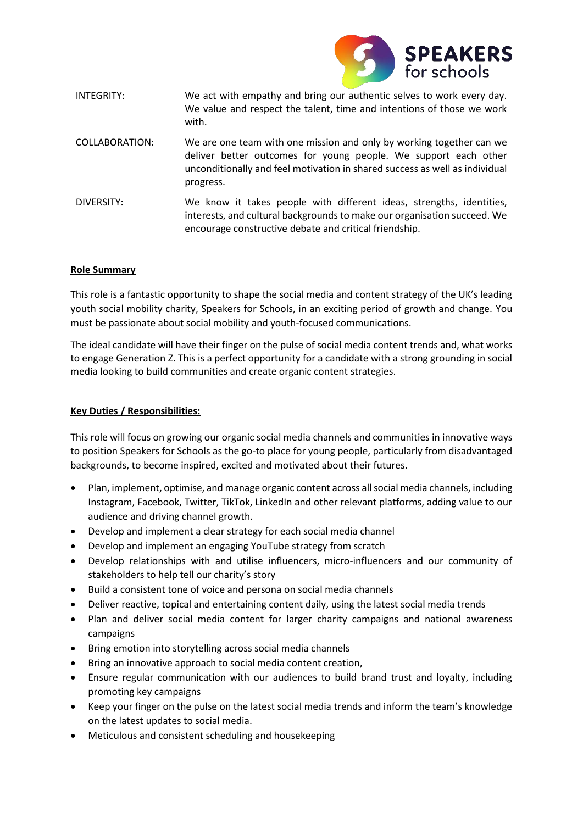

- INTEGRITY: We act with empathy and bring our authentic selves to work every day. We value and respect the talent, time and intentions of those we work with.
- COLLABORATION: We are one team with one mission and only by working together can we deliver better outcomes for young people. We support each other unconditionally and feel motivation in shared success as well as individual progress.
- DIVERSITY: We know it takes people with different ideas, strengths, identities, interests, and cultural backgrounds to make our organisation succeed. We encourage constructive debate and critical friendship.

### **Role Summary**

This role is a fantastic opportunity to shape the social media and content strategy of the UK's leading youth social mobility charity, Speakers for Schools, in an exciting period of growth and change. You must be passionate about social mobility and youth-focused communications.

The ideal candidate will have their finger on the pulse of social media content trends and, what works to engage Generation Z. This is a perfect opportunity for a candidate with a strong grounding in social media looking to build communities and create organic content strategies.

### **Key Duties / Responsibilities:**

This role will focus on growing our organic social media channels and communities in innovative ways to position Speakers for Schools as the go-to place for young people, particularly from disadvantaged backgrounds, to become inspired, excited and motivated about their futures.

- Plan, implement, optimise, and manage organic content across all social media channels, including Instagram, Facebook, Twitter, TikTok, LinkedIn and other relevant platforms, adding value to our audience and driving channel growth.
- Develop and implement a clear strategy for each social media channel
- Develop and implement an engaging YouTube strategy from scratch
- Develop relationships with and utilise influencers, micro-influencers and our community of stakeholders to help tell our charity's story
- Build a consistent tone of voice and persona on social media channels
- Deliver reactive, topical and entertaining content daily, using the latest social media trends
- Plan and deliver social media content for larger charity campaigns and national awareness campaigns
- Bring emotion into storytelling across social media channels
- Bring an innovative approach to social media content creation,
- Ensure regular communication with our audiences to build brand trust and loyalty, including promoting key campaigns
- Keep your finger on the pulse on the latest social media trends and inform the team's knowledge on the latest updates to social media.
- Meticulous and consistent scheduling and housekeeping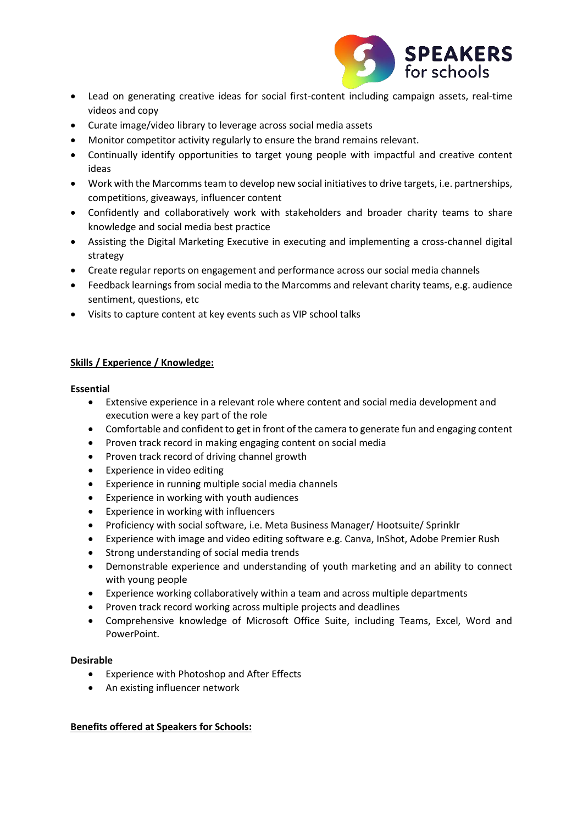

- Lead on generating creative ideas for social first-content including campaign assets, real-time videos and copy
- Curate image/video library to leverage across social media assets
- Monitor competitor activity regularly to ensure the brand remains relevant.
- Continually identify opportunities to target young people with impactful and creative content ideas
- Work with the Marcomms team to develop new social initiatives to drive targets, i.e. partnerships, competitions, giveaways, influencer content
- Confidently and collaboratively work with stakeholders and broader charity teams to share knowledge and social media best practice
- Assisting the Digital Marketing Executive in executing and implementing a cross-channel digital strategy
- Create regular reports on engagement and performance across our social media channels
- Feedback learnings from social media to the Marcomms and relevant charity teams, e.g. audience sentiment, questions, etc
- Visits to capture content at key events such as VIP school talks

## **Skills / Experience / Knowledge:**

### **Essential**

- Extensive experience in a relevant role where content and social media development and execution were a key part of the role
- Comfortable and confident to get in front of the camera to generate fun and engaging content
- Proven track record in making engaging content on social media
- Proven track record of driving channel growth
- Experience in video editing
- Experience in running multiple social media channels
- Experience in working with youth audiences
- Experience in working with influencers
- Proficiency with social software, i.e. Meta Business Manager/ Hootsuite/ Sprinklr
- Experience with image and video editing software e.g. Canva, InShot, Adobe Premier Rush
- Strong understanding of social media trends
- Demonstrable experience and understanding of youth marketing and an ability to connect with young people
- Experience working collaboratively within a team and across multiple departments
- Proven track record working across multiple projects and deadlines
- Comprehensive knowledge of Microsoft Office Suite, including Teams, Excel, Word and PowerPoint.

### **Desirable**

- Experience with Photoshop and After Effects
- An existing influencer network

# **Benefits offered at Speakers for Schools:**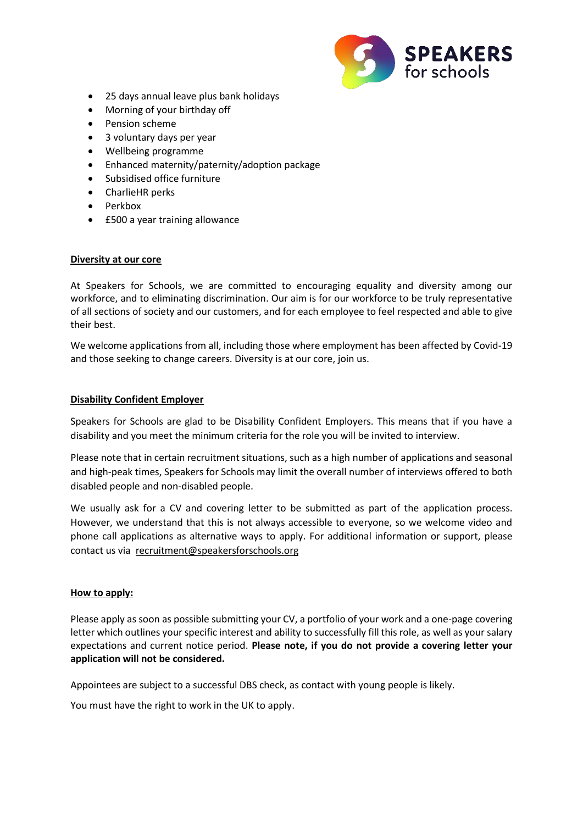

- 25 days annual leave plus bank holidays
- Morning of your birthday off
- Pension scheme
- 3 voluntary days per year
- Wellbeing programme
- Enhanced maternity/paternity/adoption package
- Subsidised office furniture
- CharlieHR perks
- Perkbox
- £500 a year training allowance

#### **Diversity at our core**

At Speakers for Schools, we are committed to encouraging equality and diversity among our workforce, and to eliminating discrimination. Our aim is for our workforce to be truly representative of all sections of society and our customers, and for each employee to feel respected and able to give their best.

We welcome applications from all, including those where employment has been affected by Covid-19 and those seeking to change careers. Diversity is at our core, join us.

#### **Disability Confident Employer**

Speakers for Schools are glad to be Disability Confident Employers. This means that if you have a disability and you meet the minimum criteria for the role you will be invited to interview.

Please note that in certain recruitment situations, such as a high number of applications and seasonal and high-peak times, Speakers for Schools may limit the overall number of interviews offered to both disabled people and non-disabled people.

We usually ask for a CV and covering letter to be submitted as part of the application process. However, we understand that this is not always accessible to everyone, so we welcome video and phone call applications as alternative ways to apply. For additional information or support, please contact us via [recruitment@speakersforschools.org](mailto:recruitment@speakersforschools.org)

### **How to apply:**

Please apply as soon as possible submitting your CV, a portfolio of your work and a one-page covering letter which outlines your specific interest and ability to successfully fill this role, as well as your salary expectations and current notice period. **Please note, if you do not provide a covering letter your application will not be considered.**

Appointees are subject to a successful DBS check, as contact with young people is likely.

You must have the right to work in the UK to apply.